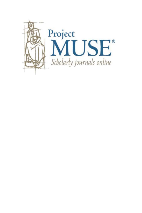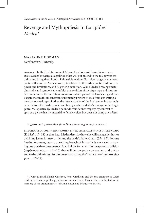# Revenge and Mythopoiesis in Euripides' *Medea*\*

# marianne hopman

*Northwestern University*

summary: In the first stasimon of *Medea,* the chorus of Corinthian women exalts Medea's revenge as a palinode that will put an end to the misogynist tradition and bring them honor. This article analyzes Euripides' tragedy as a metapoetic reflection on Medea's voice, its relation to the earlier poetic tradition, its power and limitations, and its generic definition. While Medea's revenge metaphorically and symbolically unfolds as a revision of the Argo saga and thus undermines one of the most famous androcentric epics of the Greek song culture, I argue that mythical constraints ultimately prevent Medea from generating a new, gynocentric epic. Rather, the intertextuality of the final scenes increasingly departs from the Iliadic model and firmly anchors Medea's revenge in the tragic genre. Metapoetically, Medea's palinode thus defines tragedy, by contrast to epic, as a genre that is congenial to female voices but does not bring them *kleos.*

 $\ddot{\epsilon}$  *ε*ρχεται τιμά γυναικείωι γένει *Honor is coming to the female race!* 

the chorus of corinthian women enthusiastically sings these words (E. *Med*. 417–18) as they hear Medea describe how she will avenge her honor by killing Jason, his new bride, and the bride's father Creon (374–85). For one fleeting moment, Jason's unsettling breech of his oaths is envisaged as having one positive consequence. It will allow for a twist in the spoken tradition (στρέψουσι φ $\alpha$ μαι, 414–16) that will bestow praise on women and put an end to the old misogynist discourse castigating the "female race" (γυναικείωι  $\gamma$ ένει, 417–18).

\* I wish to thank Daniel Garrison, Jonas Grethlein, and the two anonymous *TAPA* readers for their helpful suggestions on earlier drafts. This article is dedicated to the memory of my grandmothers, Johanna Jansen and Marguerite Lassier.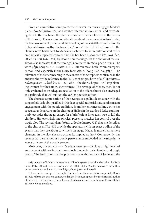From an enunciative standpoint, the chorus's utterance engages Medea's plans ( $\beta$ ov $\lambda$ εύματα, 372) at a doubly referential level, intra- and extra-diegetic. On the one hand, the plans are evaluated with reference to the fiction of the tragedy. The opening considerations about the reversal of natural order, the transgression of justice, and the treachery of males (410–13) refer directly to Jason's broken oaths; the hope that "honor" ( $\tau \mu \alpha$ , 417) will come to the "female race" harks back to Medea's attachment to her reputation and to her emphatically repeated concern that she has been dishonored ( $\eta \tau \mu \alpha \sigma \mu \acute{\epsilon} \nu \eta$ , 20; cf. 33, 438, 696, 1354) by Jason's new marriage. Yet the diction of the stasimon also indicates that the revenge is evaluated in meta-poetic terms. The word  $\varphi$ ήμη ( $\varphi \hat{\alpha}$ μαι, 415–16;  $\varphi \hat{\alpha}$ μα, 419–20) can mean both "common report, rumor" and, especially in the Doric form φάμα, "song" (*LSJ* s.v. φήμη). The relevance of the latter meaning in the context of the strophe is confirmed in the antistrophe by the reference to the "Muses of singers born of old" ( $\mu$ οῦσαι...  $\pi\alpha\lambda\alpha\gamma$ evéωv . . .  $\dot{\alpha}$ οιδῶν, 421–22), who—the chorus hopes—will stop blaming women for their untrustworthiness. The revenge of Medea, then, is not only evaluated as an adequate retaliation to the offense but is also envisaged as a palinode that will subvert the earlier poetic tradition.<sup>1</sup>

The chorus's appreciation of the revenge as a palinode on a par with the songs of old is doubly justified by Medea's special authorial status and constant engagement with the poetic tradition. From her entrance at line 214 to her spectacular departure on the chariot of Helios in the exodos, Medea continuously occupies the stage, except for a brief exit at lines 1251–316 to kill the children. Her overwhelming physical presence matches her control over the tragic plot. The revised plans (τάμά ... βουλεύματα, 772) that she describes to the chorus at 772–810 provide the spectators with an exact outline of the events that they are about to witness on stage. Medea is more than a mere character in the play; she also acts as its implied author.2 Consequently, her revenge can be analyzed as a poetic performance embedded in the tragedy—a *mise en abyme* of the poetic process.

Moreover, the tragedy—or Medea's revenge—displays a high level of engagement with earlier traditions, including epic, lyric, iambic, and tragic poetry. The background of the plot overlaps with the story of Jason and the

<sup>1</sup>My analysis of Medea's revenge as a palinode systematizes the idea raised by Rush Rehm 1989: 101 and Deborah Boedeker 1991: 109–10, that Medea behaves as the author of her own myth and enacts a new λόγος about Jason and herself.

<sup>2</sup>I borrow the concept of the implied author from literary criticism, especially Booth 1983, to refer to the persona constructed in the fiction, as opposed to the historical author of the work. For the idea of the collusion of a character and its author, see Felson-Rubin 1987: 63–65 on Penelope.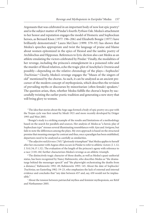Argonauts that was celebrated in an important body of now lost epic poetry<sup>3</sup> and is the subject matter of Pindar's fourth *Pythian Ode*. Medea's attachment to her honor and reputation engages the model of Homeric and Sophoclean heroes, as Bernard Knox (1977: 196–206) and Elizabeth Bongie (1977) have brilliantly demonstrated.4 Laura McClure (1999: 379–93) has shown that Medea's speeches appropriate and twist the language of praise and blame about women epitomized in the epics of Hesiod and the iambic poetry of Archilochus and Hipponax. References to lyric diction also cast Medea as an athlete emulating the victors celebrated by Pindar.5 Finally, the modalities of her revenge, including the princess's entanglement in a poisoned robe and the murder of blood relatives, echo the tragic plot of Aeschylus's *Oresteia* and possibly—depending on the relative chronology of the plays—Sophocles' *Trachiniae.*<sup>6</sup> Clearly, Medea's revenge engages the "Muses of the singers of old" mentioned by the chorus. As such, it can be analyzed as an ancient precursor of the modern concept of mythopoiesis, which describes the revision of prevailing myths or discourses by minoritarian (often female) speakers.7 The question arises, then, whether Medea fulfills the chorus's hopes by successfully twisting the earlier poetic tradition and generating a new story that will bring glory to women.

<sup>3</sup>The idea that stories about the Argo saga formed a body of epic poetry on a par with the Trojan cycle was first raised by Meuli 1921 and more recently developed by Dräger 1993 and West 2005.

4Bongie's study is a striking example of the results and limitations of a methodology based on the search for parallels and sources. Her analysis of *Medea* as "a heroic play of Sophoclean type" stresses several illuminating resemblances with *Ajax* and *Antigone*, but fails to note the differences among the plays. My own approach is based on the structural premise that meaning emerges by contrast and thus, once a paradigm has been established, departures need to be analyzed as carefully as similarities.

<sup>5</sup>The adjective  $\kappa \alpha \lambda \lambda$ ívi $\kappa$ oi (765) "gloriously triumphant" that Medea applies to herself after her encounter with Aegeus often occurs in Pindar to refer to athletic victors (*I.* 1.12; *I.* 5(4).54; *P.* 1.32). The evaluation of the length of the princess's agony with reference to a race (1181–84) further characterizes Medea's revenge as an athletic triumph.

6The distinctively tragic character of those deaths, as well as Medea's quasi-authorial status, has been recognized by Nancy Rabinowitz, who describes Medea as "the dramaturge behind the messenger speech" and "the playwright orchestrating the deaths from a distance," Rabinowitz 1992: 49; Rabinowitz 1993: 145. About the date of Sophocles' *Trachiniae*, see Easterling 1982: 19–23, who emphasizes the lack of external and internal evidence and concludes that "any date between 457 and, say, 430 would not be implausible."

7About the tension between patriarchal mythos and feminist mythopoiesis, see Rétif and Niethammer 2005.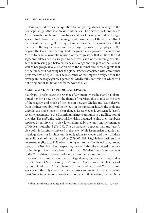This paper addresses that question by comparing Medea's revenge to the poetic paradigms that it addresses and revises. The first two parts emphasize Medea's mythopoietic and dramaturgic abilities. Drawing on studies of tragic space, I first show that the language and movements of the actors diffract the Corinthian setting of the tragedy and create a new, imaginary space that focuses on the Argo journey and the passage through the Symplegades (I). Beyond the Corinthian setting, that imaginary space provides a context for Medea to enact a symbolic revision of the Argo story that nullifies the old saga, annihilates her marriage, and deprives Jason of his heroic glory (II). Yet the increasing gap between Medea's revenge and the plot of the *Iliad*, as well as her progressive alienation from the internal audience, suggests that her palinode will not bring her the glory (κλέος) associated with communal performances of epic (III). The last scenes of the tragedy firmly anchor the revenge in the tragic genre, a genre that Medea fully controls but which will not bring honor to her or her fellow women (IV).

#### scenic and metaphorical spaces

Plainly put, *Medea* stages the revenge of a woman whose husband has abandoned her for a new bride. The theme of marriage thus stands at the core of the tragedy, and much of the tension between Medea and Jason derives from the incompatibility of their views on their relationship. As the prologue unfolds, the nurse makes it clear that, as far as Medea is concerned, Jason's recent engagement to the Corinthian princess amounts to a nullification of their ties. The *philia*, the reciprocal friendship that used to bind them, has been replaced by enmity (16), a view later reiterated by the tutor, another member of Medea's household (76–77). The discrepancy between that and Jason's viewpoint is forcefully conveyed in the *agōn*. While Jason insists that his new marriage does not impinge on his obligations to Medea and their children and still speaks of them as his *philoi* (559–65, 609–15), Medea considers him an enemy ( $\ell \chi \theta$ ιστος, 467) who is doing evil to his friends (φίλους κακῶς drãsant', 470). From her perspective, the *charis* that she expected in return for her help in Colchis has been annihilated (506-19).<sup>8</sup> Jason's engagement to the Corinthian princess breaks away from their common past.

Given the prominence of the marriage theme, the drama fittingly takes place in front of Medea's and Jason's house in Corinth—a suitable image of the household ( $o\hat{i}$ ко $\varsigma$ ) that is being disrupted and destroyed. Yet that scenic space is not the only space that the spectators are invited to visualize. While most Greek tragedies open on deictic pointers to their setting, the first lines

<sup>&</sup>lt;sup>8</sup> About the themes of χάρις and reciprocity in the *agōn*, see Mueller 2001: 473–86.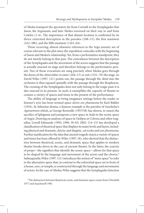of *Medea* transport the spectators far from Corinth to the Symplegades that Jason, the Argonauts, and later Medea traversed on their way to and from Colchis (1–6). The importance of that distant location is confirmed by its thrice reiterated description in the parodos (208–13), the first stasimon (432–38b), and the fifth stasimon (1261–64).

Those recurring, almost obsessive references to the Argo journey are of course relevant to the plot since the expedition coincides with the beginning of Jason and Medea's relationship. Yet, from a performative standpoint, they do not merely belong to that past. The coincidence between the description of the Symplegades and the movement of the actors suggests that the passage is actually enacted on stage and therefore belongs to the performative present. Two of those evocations are sung precisely when Medea goes through the doors of the *skēnē* either to enter (204–13) or exit (1251–70) the stage. As David Wiles (1997: 121) points out, the passage through the *skene* into the orchestra is thus equated spatially with the passage through the Bosphorus. The crossing of the Symplegades does not only belong to the tragic past; it is also enacted in its present. As such, it exemplifies the capacity of theater to conjure a variety of spaces and times in the present of the performance.

The ability of language to bring imaginary settings before the reader or listener's eyes has been termed space *deixis am phantasma* by Karl Bühler (1934). In Athenian drama, a famous example is the parodos of Aeschylus's *Agamemnon* which, as George Kernodle (1957/58) has shown, re-enacts the sacrifice of Iphigenia and juxtaposes a new space in Aulis to the scenic space of Argos. Drawing on analyses of space in *Oedipus at Colonus* and other tragedies, Lowell Edmunds (1992; 1996: 39–83; 2002: 114–15) has developed a classification of theatrical space that displays its many levels and layers, including physical and dramatic, deictic and diegetic, *ad oculos* and *am phantasma*. Further justification for the idea that ancient tragedy enacts a variety of spaces and times has been offered by Wiles (1997: 18), who showed that the distinction between theatrical, scenic, and dramatic space that applies to modern theater breaks down in the case of ancient theater. In the latter, the scarcity of props—the signifiers that identify the scenic space—allows for that space to be shaped by the language and movement of the actors and the chorus.<sup>9</sup> Subsequently, Wiles (1997: 121) introduces the notion of "meta-space" to refer to the alternative space that, in contrast to the referential space set in front of a house, cave, or temple, is constructed through the language and movements of actors. In the case of *Medea*, Wiles suggests that the Symplegades function

<sup>9</sup>The distinction between theatrical, scenic, and dramatic space comes from Ubersfeld 1977 and Issacharoff 1981.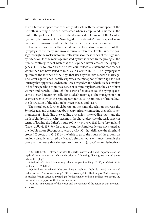as an alternative space that constantly interacts with the scenic space of the Corinthian setting.10 Just as the crossroad where Oedipus and Laius met in the past of the plot lies at the core of the dramatic development of the *Oedipus Tyrannus*, the crossing of the Symplegades provides *Medea* with a spatial focus constantly re-invoked and revisited by the participants in the drama.

Thematic reasons for the spatial and performative prominence of the Symplegades are many and involve various referential levels. First, the passage through the rocks metonymically stands for the journey of the *Argo* and, by extension, for the marriage initiated by that journey. In the prologue, the nurse's contrary-to-fact wish that the *Argo* had never crossed the Symplegades (1–6) is followed by the no less counterfactual statement that Medea would then not have sailed to Iolcus and Corinth (6–13). The Symplegades epitomize the journey of the *Argo* that itself symbolizes Medea's marriage. The latter equivalence literally expresses the metaphor of marriage as a sea journey that appears elsewhere in Greek tragedy<sup>11</sup> and which Medea invokes in her first speech to promote a sense of community between the Corinthian women and herself.12 Through that series of equivalences, the Symplegades come to stand metonymically for Medea's marriage. The transgression of cosmic order to which their passage amounted (3–4) ominously foreshadows the destruction of the relation between Medea and Jason.

The choral odes further elaborate on the symbolic relation between the Symplegades and the marriage by metaphorically connecting the rocks to key moments of it including the wedding procession, the wedding night, and the birth of children. In the first stasimon, the chorus describes the sea journey in terms of leaving the father's house ( $o\tilde{\alpha}$ w $\alpha v \pi \alpha \tau \rho \tilde{\alpha} v$ , 432) for a foreign land  $(\xi \circ \alpha_1...\circ \alpha_N)$  ( $\xi \circ \alpha_2...\circ \alpha_N$ ). In that context, the Symplegades are envisioned as the double doors ( $\delta \tilde{\omega}$ μους...  $\pi \tilde{\epsilon}$ τρας, 433–35) that delineate the threshold crossed ( $\delta$ pí $\sigma$  $\alpha$  $\sigma$  $\alpha$ , 433–34) by the bride to go to the house of the groom, an analogy visually enforced by Medea's simultaneous entrance through the doors of the house that she used to share with Jason.13 More distinctively

<sup>10</sup> Burnett 1973: 16 already intuited the performative and visual importance of the myth of the Argonauts, which she describes as "[hanging] like a great painted scene behind this play."

<sup>11</sup> Seaford 2005: 115n5 lists among other examples Eur. *Hipp.* 732 ff., A. *Niobe* fr. 154a Radt, and S. *OT* 420–23.

12Cf. *Med.* 238–40, where Medea describes the troubles of the bride—any bride—forced to discover new "customs and ways" (ἤθη καὶ νόμους, 238). By doing so, Medea manages to cast her foreign status as a paradigm for the female condition and hence to secure the unconditional support of the Corinthian women.

<sup>13</sup> On the juxtaposition of the words and movements of the actors at that moment, see above.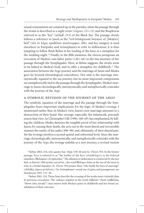sexual connotations are conjured up in the parodos, when the passage through the straits is described as a night event ( $v$ ύ $\chi$ ιον, 211–12) and the Bosphorus referred to as the "key" (κλῆιδ', 213) of the Black Sea. The passage closely follows a reference to Jason as the "evil bridegroom betrayer of [Medea's] bed" (τὸν ἐν λέχει προδόταν κακόνυμφον, 206), and key imagery is used elsewhere in Euripides and Aristophanes to refer to defloration; it is thus tempting to follow Rush Rehm in his reading of the lines as a metaphor for the wedding night.<sup>14</sup> Finally, in the fifth stasimon, the chorus juxtaposes an evocation of Medea's vain labor pains (1261–64) to the last mention of her passage through the Symplegades. Here, as Rehm suggests, the straits seem to be linked to Medea's body and to offer a metaphor for childbirth.15 The association between the Argo journey and the marriage of Jason and Medea goes far beyond chronological coincidence. Not only is the marriage metonymically equated to the sea journey, but its most important components are metaphorically tied to the passage through the Symplegades. Medea's marriage to Jason chronologically, metonymically, and metaphorically coincides with the journey of the *Argo*.

### a symbolic revision of the journey of the *argo*

The symbolic equation of the marriage and the passage through the Symplegades bears important implications for the logic of Medea's revenge. I mentioned earlier that, in Medea's view, Jason's new marriage amounts to a destruction of their bond. Her revenge, especially the infanticide, precisely enacts that view. As Christopher Gill (1996: 168–69) has emphasized, by killing the children, Medea destroys the tangible proof of her relationship with Jason; by causing their death, she acts out in the most literal and irreversible manner the vanity of his oaths (496–98) and, ultimately, of their shared past. Yet the revenge involves a second spatial and referential level. Since the marriage chronologically, metonymically, and metaphorically coincides with the journey of the *Argo*, the revenge unfolds as a new journey, a revised version

14Rehm 2002: 254, who quotes Eur. *Hipp*. 538–40 and Ar. *Thesm*. 976. In the former passage, Eros is referred to as "the holder of the keys  $(\kappa \lambda \eta \iota \delta \sigma \hat{v} \chi \sigma \nu)$  to the beloved chambers ( $\theta\alpha\lambda\dot{\alpha}\mu\omega$ ) of Aphrodite." The allusion to defloration is reinforced by the fact that, as Barrett 1966 points out ad loc., the word  $\theta \alpha \lambda \alpha \mu$  hints at the use of the term to refer to a bridal chamber. Ar. *Thesm*. 976 praises Hera "who holds the keys of marriage" (κλῆιδας γάμου φυλάττει). On Aristophanes' sexual use of gates and passageways, see Henderson 1991: 137–38.

<sup>15</sup> Rehm 2002: 254. Those lines describe the crossing of the straits more violently than its previous evocations. The violence implicit in the word  $\dot{\epsilon} \sigma \beta o \lambda \dot{\alpha} v$  (from  $\epsilon i \sigma \beta \dot{\alpha} \lambda \lambda \omega$ , "throw into, invade") may mirror both Medea's pains in childbirth and her brutal annihilation of their outcome.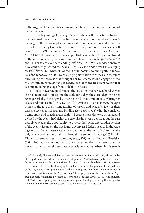of the Argonauts' story.16 Six moments can be identified in that revision of the heroic saga.

(1) At the beginning of the play, Medea finds herself in a critical situation. The circumstances of her departure from Colchis, combined with Jason's marriage to the princess, place her in a state of utter isolation, epitomized by her exile decreed by Creon. Several nautical images uttered by Medea herself (257–58, 278–79), the nurse (78–79), and the sympathetic chorus (361–63, 442–43, 647–48) compare her to a ship full of bilge-water (78–79) and tossed in the midst of a rough sea, with no place to anchor ( $\mu \epsilon \theta$ op $\mu$ ίσασθαι, 258 and 443) or to achieve a safe landing ( $\mathring{\epsilon}$ κ $\beta$ ασις, 279). While Medea's enemies have confidently "spread their sails" (278–79), she finds herself in a surging sea (κλύδωνα, 362) where it is difficult or impossible to find a path (άπορον, 362;  $\delta$ υσπέρατον, 647–48). By challenging his relation to Medea and therefore questioning the process that brought her to Greece, Jason's engagement to the Corinthian princess has put Medea back into the turbulent waters that accompanied her passage from Colchis to Greece.

(2) Medea, however, quickly takes the situation into her own hands. Once she has managed to postpone the exile for a day, she starts deploying her revenge verbally in the *agon* by uttering words that simultaneously bring her solace and hurt Jason (473–74). As Gill (1996: 154–74) has shown, the *agon* brings to the fore the incompatibility of Jason's and Medea's views of their ties: she sees as reciprocal and binding *charis* (508, 526) what he considers a temporary and practical association. Because those ties were initiated and defined by the events in Colchis, the *agon* also involves a debate about the past that gives Medea the opportunity to provide her own, unorthodox version of the events. Jason, on the one hand, downplays Medea's agency in the Argo saga and attributes the success of his expedition to the help of Aphrodite, "the only one of gods and mortals that brought safety to [his] voyage" (526–28). His version emphasizes his autonomy (ἐγώ, 526) and, as Deborah Boedeker (1991: 106) has pointed out, casts the Argo expedition as a heroic quest in the epic or lyric model. Just as Odysseus is assisted by Athena in his search

<sup>16</sup> I obviously disagree with Barlow 1971: 97–98, 105 and Kurtz 1985: 483, whose studies of Euripidean imagery deem the nautical metaphors in *Medea* stereotyped and irrelevant. Other commentators, including Musurillo 1966: 67–68 and Boedeker 1997: 130, stress the relevance of the nautical imagery to the background of the plot and the expedition of the Argonauts. My argument goes further and suggests that those metaphors amount to a revised enactment of the Argo journey. The engagement of the play with the Argo saga has been recognized by Rehm 1989: 98 and Boedeker 1991: 104–09, who suggests that Medea's revenge negates the old glorious epic of the *Argo*. I develop that insight by showing that Medea's revenge stages a revised version of the Argo saga.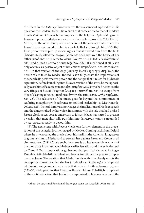for Ithaca in the *Odyssey*, Jason receives the assistance of Aphrodite in his quest for the Golden Fleece. His version of it comes close to that of Pindar's fourth *Pythian Ode*, which too emphasizes the help that Aphrodite gave to Jason and presents Medea as a victim of the spells of love (Pi. *P*. 4.213–19). Medea, on the other hand, offers a version of the journey that jeopardizes Jason's heroic status and emphasizes the help that she brought him (475–87). First-person verbs pile up as she argues that she saved him from the bulls  $($ έσωσα, 476), killed the dragon (κτείνασ', 482), betrayed the house of her father ( $\pi \rho$ οδοῦσ', 483), came to Iolcus (ἱκόμην, 484), killed Pelias (ἀπέκτειν', 486), and ruined his whole house (ἐξεῖλον, 487). If mentioned at all, Jason only occurs as a passive object of her actions (πεμφθέντα, 478; σπεροῢντα, 479). In that version of the Argo journey, Jason's agency is displaced; the heroic role is filled by Medea. Indeed, Jason fully senses the implications of the speech, its performative power, and the danger that it raises for his heroic reputation. Before launching into his own version of the story, he metaphorically casts himself as a steersman ( $o\iota\alpha\kappa$ o $\sigma\tau\rho\acute{o}$ φον, 523) who had better use the very fringes of his sail (άκροισι λαίφους κρασπέδοις, 524) to escape from Medea's lashing tongue (υπεκδραμείν την σην στόμαργον... γλωσσαλγίαν, 524–25). The relevance of the image goes far beyond the commonness of seafaring metaphors with reference to political leadership (so Mastronarde, 2002 ad 523). Instead, it fully acknowledges the implications of Medea's speech and the danger raised by her voice. In contrast with the tale that had praised Jason's glorious sea-voyage and return to Iolcus, Medea has started to present a version that metaphorically puts him into dangerous waters, surrounded by sea-creatures ready to devour him.

(3) The next scene with Aegeus yields one further element in the preparation of the vengeful journey staged by Medea. Coming back from Delphi where he interrogated the oracle about his sterility, the Athenian king agrees to grant asylum to Medea and to protect her against Jason and Creon in all circumstances (719–45). As such, the scene is an indispensable element of the plot since it counteracts Medea's earlier isolation and the exile decreed by Creon.<sup>17</sup> Yet its implications go beyond that practical element. As Roger Dunkle (1969: 99–101) emphasizes, Aegeus functions as a precise complement to Jason. The relation that Medea builds with him closely enacts the conception of marriage that she has just developed in the *agon*: a reciprocal relation of *xenia*, complete with oaths that make up for those broken by Jason (731–55) and a promise that Aegeus will sire children (714–18), but deprived of the erotic attraction that Jason had emphasized in his own version of the

<sup>&</sup>lt;sup>17</sup> About the structural function of the Aegeus scene, see Grethlein 2003: 335–45.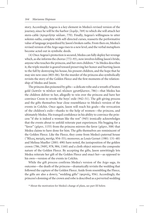story. Accordingly, Aegeus is a key element in Medea's revised version of the journey, since he will be the harbor ( $\lambda \mu \eta v$ , 769) to which she will attach her stern-cable ( $\pi$ ρυμνήτην κάλων, 770). Finally, Aegeus's willingness to utter solemn oaths, complete with self-directed curses, reasserts the performative value of language jeopardized by Jason's broken oaths. From then on, Medea's revised version of the Argo saga rises to a new level, and the verbal metaphors become acted out in symbolic deeds.

(4) Once Aegeus's protection is secured, Medea can fully deploy her revenge which, as she informs the chorus (772–93), now involves killing Jason's bride, anyone who touches the princess, and her own children.18 As Medea describes it, the triple murder is geared toward preserving her honor and hurting Jason to the full by destroying his house, his present children, and the hope that he may sire new ones (803–06). Yet the murder of the princess also symbolically revisits the story of the Golden Fleece and the first moments of the relationship of Medea and Jason.

The princess dies poisoned by gifts—a delicate robe and a wreath of beaten gold (λεπτόν τε πέπλον καὶ πλόκον χρυσήλατον, 786)—that Medea has the children deliver to her, allegedly to win over the princess and have her convince Creon to revoke the boys' exile (942–51). The gift-giving process and the gifts themselves bear close resemblance to Medea's version of the events in Colchis. Once again, Jason will reach his goals—the revocation of the children's exile—thanks to the help of women—the princess, and ultimately Medea. His tranquil confidence in his ability to convince the princess "if she is indeed a woman like the rest" (945) ironically acknowledges that the events about to unfold reiterate past experiences. His begging for a "favor" ( $\chi \dot{\alpha}$ ριν, 1155) from the princess mirrors the favor ( $\chi \dot{\alpha}$ ριν, 508) that Medea claims to have done for him. The gifts themselves are reminiscent of the Golden Fleece. Like the Fleece, they come from Medea's paternal house ("Ηλιος πατρὸς πατήρ, 954–55); moreover, as Louis Gernet (1981: 131–40) and Melissa Mueller (2001: 490) have noted, the juxtaposition of the golden crown (786, [949], 978, 984, 1160) and a cloth object mirrors the composite nature of the Golden Fleece. By accepting the gifts, Jason unwittingly lets Medea reiterate her gift of the Golden Fleece and enact her—as opposed to his own—version of the events in Colchis.

While the gift process confirms Medea's version of the Argo saga, its outcome—the death of the princess—dramatically revisits the wedding that followed the capture of the Golden Fleece. Aside from resembling the Fleece, the gifts are also a dowry, "wedding gifts" ( $\varphi$ ερνάς, 956). Accordingly, the princess's donning of the crown and robe is described as a perverted wedding

<sup>&</sup>lt;sup>18</sup> About the motivation for Medea's change of plans, see part III below.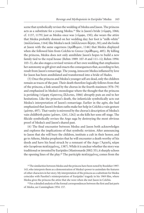scene that symbolically revises the wedding of Medea and Jason. The princess acts as a substitute for a young Medea.<sup>19</sup> She is Jason's bride ( $v$ ύμφη, 1066; cf. 1137, 1179) just as Medea once was ( $v$ ύμφα, 150); she wears the attire that Medea probably donned on her wedding day; her foot is "milk-white" (παλλεύκωι, 1164) like Medea's neck (πάλλευκον δέρην, 30); and she looks at Jason with the same eagerness ( $\pi \rho \acute{o} \theta \nu \mu \nu$ , 1146) that Medea displayed when she followed him from Colchis to Greece ( $\pi \rho \acute{o} \theta \nu \mu o \varsigma$ , 485). By killing the princess, Medea does not only annihilate Jason's hopes to build a new family tied to the royal house (Rehm 1989: 107–8 and 111–12; Rehm 1994: 103–5), she also stages a revised version of her own wedding that emphasizes her autonomy as gift giver and enacts the consequences that, according to her, result from Jason's remarriage. The young, innocent Medea inflamed by love for Jason has been annihilated and transformed into a bride of Hades.

(5) Once the princess and Medea's younger self are dead, only the children remain as traces of the past. Their death therefore logically follows from that of the princess, a link sensed by the chorus in the fourth stasimon (976–79) and emphasized in Medea's monologue where the thought that the princess is perishing (νύμφη τύραννος ὄλλυται, 1066) abruptly puts an end to her hesitations. Like the princess's death, the infanticide symbolically acts out Medea's interpretation of Jason's remarriage. Earlier in the *agōn*, she had emphasized that Jason's broken oaths make her help in Colchis a vain gesture  $(\mu\alpha\tau\eta\nu, 497)$ . That vanity is mirrored by the chorus's description of Medea's vain childbirth pains ( $\mu \acute{\alpha} \tau \alpha v$ , 1261, 1262) as she kills her sons off-stage. The filicide symbolically revises the Argo saga by destroying the most obvious proof of Medea's and Jason's shared past.

(6) The final encounter between Medea and Jason both acknowledges and explores the implications of that symbolic revision. After announcing to Jason that she will bury the children, institute a cult in their honor, and go to Athens, Medea prophesies that he will encounter a death worthy of his deeds and have his head struck by a remnant of the Argo ('Apyo  $\hat{\alpha}$ ) σὸν λειψάνωι πεπληγμένος, 1387). While it is unclear whether the story was traditional or invented by Euripides (Mastronarde 2002: 55), it sharply echoes the opening lines of the play.<sup>20</sup> The participle  $\pi \epsilon \pi \lambda \eta \gamma \mu \epsilon \nu o \varsigma$  comes from the

19The similarities between Medea and the princess have been noted by Boedeker 1997: 143, who interprets them as a demonstration of Medea's power to assimilate the features of other characters in her story. My interpretation of the princess as a substitute for Medea coincides with Pasolini's reinterpretation of Euripides' tragedy in his 1969 film, where Medea gives the princess the attire that she wore when she met Jason in Colchis.

<sup>20</sup> For a detailed analysis of the formal correspondences between the first and last parts of *Medea*, see Cunningham 1954: 157.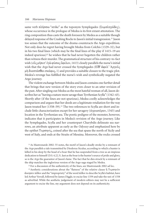same verb  $\pi\lambda\eta\sigma\sigma\omega$  "strike" as the toponym Symplegades (Συμπληγάδες), whose occurrence in the prologue of Medea is its first extant attestation. The ring composition thus casts the death foreseen by Medea as a suitable though delayed response of the Crashing Rocks to Jason's initial transgression.<sup>21</sup> Jason too senses that the outcome of the drama counteracts the Argo expedition. Not only does he regret having brought Medea from Colchis (1329–32), but in his two final lines (which may be the final lines of the play if 1415–19 are indeed spurious)<sup>22</sup> he wishes that he had never begotten the children rather than witness their murder. The grammatical structure of his contrary-to-fact wish (ούς μήποτ' έγὼ φύσας ὄφελον, 1413) closely parallels the nurse's initial wish that the *Argo* had never crossed the Symplegades (Εἴθ' ὤφελ' 'Αργοῦς μή διαπτάσθαι σκάφος, 1) and provides a suitable closure to the tragic plot. Medea's revenge has fulfilled the nurse's wish and symbolically negated the Argo journey.

The violent exchange between Medea and Jason contains one further detail that brings that new version of the story even closer to an utter revision of the past. After singling out Medea as the most hateful woman of all, Jason describes her as "having a nature more savage than Tyrrhenian Scylla" (1342–43). Shortly after (if the lines are not spurious), Medea coolly acknowledges the comparison and argues that her deeds are a legitimate retaliation for the way Jason treated her (1358–59).<sup>23</sup> The two references to Scylla are short and include little characterization except for her savagery ( $\dot{\alpha}$ γριωτέραν, 1343) and location in the Tyrrhenian sea. The poetic pedigree of the monster, however, indicates that it participates in Medea's revision of the Argo journey. Like the Symplegades, Scylla and her counterpart Charybdis delineate sea narrows, an attribute apparent as early as the *Odyssey* and emphasized here by the epithet Tuponyic, coined after the sea that spans the north of Sicily and west of Italy, and ends at the Straits of Messina. Moreover, the rocks crossed

21As Mastronarde 2002: 55 notes, the motif of Jason's deadly stroke by a remnant of the *Argo* parallels a tale transmitted by Diodorus Siculus, according to which a hunter is killed in his sleep by the head of a boar that he has suspended from a tree as an impious dedication to himself (D.S. 4.22.3). Just as the boar is the hunter's source of pride and glory, so is the *Argo* the guarantor of Jason's fame. The fact that he dies struck by a remnant of the ship matches the inglorious version of the Argo saga staged by Medea.

<sup>22</sup> For a discussion of the authenticity of the lines, see Mastronarde 2002 ad loc.

<sup>23</sup> Aesthetic considerations about the "flatness" of the relative clause ή Τυρσηνὸν ώικησεν πέδον and the "impropriety" of the word πέδον to describe Scylla's habitat, have led Arthur Verrall, followed by James Diggle, to excise line 1359 and take the kot of 1358 as adverbial. While the aesthetic judgement of modern editors may not be a sufficient argument to excise the line, my argument does not depend on its authenticity.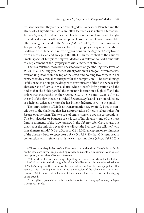by Jason whether they are called Symplegades, Cyaneae, or Planctae and the straits of Charybdis and Scylla are often featured as structural alternatives. In the *Odyssey*, Circe describes the Planctae, on the one hand, and Charybdis and Scylla, on the other, as two possible routes that Odysseus could take after passing the island of the Sirens  $(Od. 12.55-126).<sup>24</sup>$  Two centuries after Euripides, Apollonius of Rhodes places the Symplegades against Charybdis, Scylla, and the Planctae in mirroring positions on the Argonauts' way to and from Colchis (Vian and Delage 2002: III, 41). In the context of the nautical "meta-space" of Euripides' tragedy, Medea's assimilation to Scylla amounts to a replacement of the Symplegades with a new set of straits.

That assimilation, moreover, does not occur only at the linguistic level. As Wiles (1997: 122) suggests, Medea's final position in a dragon-driven chariot, overlooking Jason from the top of the *skēnē*, and holding two corpses in her arms, provides a visual counterpart for the comparison.<sup>25</sup> The verbal image is fully enacted on stage: the dragons are reminiscent of the fish or snake tails characteristic of Scylla in visual arts, while Medea's lofty position and the bodies that she holds parallel the monster's location in a high cliff and the sailors that she snatches in the *Odyssey* (*Od*. 12.73–84 and 12.245–57).26 By the end of the play, Medea has indeed *become* a Scylla and Jason stands below as a helpless Odysseus whom she has bitten ( $\delta \eta \xi$ etai, 1370) to the quick.

The implications of Medea's transformation are twofold. First, it contributes to the challenge that her appropriation of heroic values raises for Jason's own heroism. The two sets of straits convey opposite connotations. The Symplegades or Planctae are a locus of heroic glory, one of the most famous moments of the Argo journey. In the *Odyssey,* after Circe singles out the *Argo* as the only ship ever able to sail past the Planctae, she calls her "who is in all men's minds" (π $\alpha$ σι μέλουσα, *Od.* 12.70), an expression reminiscent of the phrase πασι... ανθρώποισι μέλω (*Od.* 9.19–20) that Odysseus uses in conjunction with a reference to his heaven-reaching glory (κλέος, *Od.* 9.20) at

<sup>24</sup> The structural equivalence of the Planctae on the one hand and Charybdis and Scylla on the other, are further emphasized by verbal and narratological similarities in Circe's description, on which see Hopman 2005: 62.

<sup>25</sup> The evidence for dragons or serpents pulling the chariot comes from the B scholium to *Med.* 1320 and from the iconography of South Italian vase-painting, where the theme of Medea's escape on the chariot of the Sun first occurs (and becomes popular) after 430 b.c.e. See Cunningham 1954: 152 for a discussion of the scholia and Sourvinou-Inwood 1997 for a careful evaluation of the visual evidence to reconstruct the staging of the tragedy.

<sup>26</sup> For Scylla's representation in the visual arts, see *Lexicon Iconographicum Mythologiae Classicae* s.v. Scylla.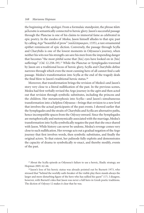the beginning of the *apologoi*. From a formulaic standpoint, the phrase  $\pi \hat{\alpha} \sigma \iota$  $\mu$ έλουσα is semantically connected to heroic glory. Jason's successful passage through the Planctae is one of his claims to immortal fame as celebrated in epic poetry. In the exodos of *Medea,* Jason himself alludes to that epic past by calling *Argo* "beautiful of prow" (καλλίπρωιρον, 1335), a rare ornamental epithet reminiscent of epic diction. Conversely, the passage through Scylla and Charybdis is one of the lowest moments in Odysseus's journey, when neither his wits nor his strength can save his men from the impending danger that becomes "the most pitiful scene that [his] eyes have looked on in [his] sufferings" (*Od.* 12.258–59).<sup>27</sup> While the Planctae or Symplegades traversed by Jason are a traditional locus of heroic glory, Scylla and Charybdis define narrows through which even the most cunning hero of all cannot find a safe passage. Medea's transformation into Scylla at the end of the tragedy deals the final blow to Jason's traditional heroic status.<sup>28</sup>

Moreover, that transformation brings the revision of Medea's and Jason's story very close to a literal nullification of the past. In the previous scenes, Medea had first verbally revised the Argo journey in the *agon* and then acted out that revision through symbolic substitutes, including the princess and the children. Her metamorphosis into Scylla—and Jason's simultaneous transformation into a helpless Odysseus—brings that revision to a new level that involves the actual participants of the past events. I showed earlier that the Symplegades and the straits of Charybdis and Scylla are alternative paths, hence incompatible spaces from the *Odyssey* onward. Since the Symplegades are metaphorically and metonymically associated with the marriage, Medea's transformation into Scylla symbolically negates the past that she once shared with Jason. While history can never be undone, Medea's revenge comes very close to such nullification. Her revenge acts out a gradual negation of the Argo journey that first involves words, then symbolic substitutes, and finally the original actors. To that extent, her palinode fully exploits and demonstrates the capacity of drama to symbolically re-enact, and thereby modify, events of the past.

<sup>27</sup> About the Scylla episode as Odysseus's failure to use a heroic, Iliadic strategy, see Hopman 2005: 62–66.

<sup>28</sup> Jason's loss of his heroic status was already pointed out by Burnett 1973, who stressed that "behind the worldly oath-breaker of the visible play there stands always the larger and more disturbing figure of the hero who has sullied his quest" (17). I disagree, however, with Burnett's idea that Jason was never a full hero in Greek poetic traditions. The diction of *Odyssey* 12 makes it clear that he was.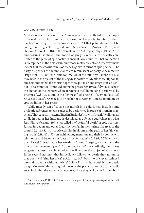#### an aborted epic

Medea's revised version of the Argo saga at least partly fulfills the hopes expressed by the chorus in the first stasimon. The poetic tradition, indeed, has been reconfigured— $\sigma\tau\rho\acute{\epsilon}$ γουσι φ $\hat{\alpha}$ μαι. Yet that palinode may not be enough to bring a "life of good fame" (εὖκλειαν . . .  $\beta$ ιοτάν, 415–16) and "honor" ( $\tau \mu \alpha$ , 417–18) to the "female race." As Gregory Nagy (1999: 16–17 and passim) has shown, the notion of glory ( $\kappa\lambda\acute{\epsilon}o\varsigma$ ) is intrinsically connected to the genre of epic poetry in ancient Greek culture. That connection is exemplified in the first stasimon*,* whose meter, dialect, and intertext make it clear that the chorus thinks of Medea's glory in terms of epic poetry.<sup>29</sup> The dactylo-epitrites of the first stanza are reminiscent of dactylic hexameters (Page 1938: 183–85); the Ionic contraction of the infinitive  $\hat{v}$ µv $\hat{v}$ o $\alpha$ <sub>1</sub> (423) may refer to the dialect of the misogynist poetry of Archilochos, Hipponax, and Semonides that the chorus hopes to see put to an end (Page 1938 ad 423), but it also connotes Homeric diction; the phrase  $\theta$ έσπιν άοιδάν (425) echoes the diction of the *Odyssey*, where it refers to the "divine song" performed by Phemios (*Od*. 1.328) and to the "divine gift of singing" of Demodokos (*Od*. 8.498). If Medea's revenge is to bring honor to women, it needs to initiate an epic tradition in her praise.

While tragedy can of course not morph into epic, it may include some proleptic references to epic songs to be performed in praise of its main characters. That capacity is exemplified in Euripides' *Alcestis*. Alcestis's willingness to die in lieu of her husband is described as a female equivalent for what Jean-Pierre Vernant (1991) has called the "beautiful death" of epic warriors. Just as Sarpedon and other Iliadic heroes fall in their prime like trees to the ground (*Il*. 16.482–84), so Alcestis dies in bloom, at the peak of her "flowering youth" (*Alc*. 471–72). As Achilles, Agamemnon and their ilk compete to win honor and become the "best of the Achaeans" (*Il*. 1.91, 2.768, etc.), so does Alcestis's death make her worthy of "honor" (τιμῆς, *Alc.* 434) and the title of "best woman" (γυναῖκ' ἀρίσταν, *Alc.* 442). Accordingly, the chorus suggests that just like Achilles, Alcestis will become the subject of epic songs. In the second stasimon that immediately follows her death, they announce that poets will "sing her *kleos*" (κλέοντες, 447) both "to the seven-stringed lyre and in hymns without the lyre" (446–47)—that is, in both lyric and epic songs. Moreover, those songs will involve the participation of a large audience, including the Athenian spectators, since they will be performed both

<sup>29</sup> See Boedeker 1991: 108n53 for a brief analysis of the songs envisaged in the first stasimon as epic poetry.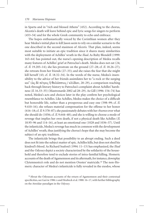in Sparta and in "rich and blessed Athens" (452). According to the chorus, Alcestis's death will leave behind epic and lyric songs for singers to perform (453–54) and for the whole Greek community to echo and embrace.

The hopes enthusiastically voiced by the Corinthian women after they hear Medea's initial plan to kill Jason seem to rely on a similar scenario to the one described in the second stasimon of *Alcestis.* That plan, indeed, seems most suitable to initiate an epic tradition since it shares many similarities with the deployment of Achilles' wrath in the *Iliad*. As Ruby Blondell (1999: 163–64) has pointed out, the nurse's opening description of Medea recalls many features of Achilles' grief at Patroclus's death. Medea does not eat (24; cf. *Il.* 19.205–14); she lies prostrate on the ground (27–28; cf. *Il*. 18.26–27); she retreats from her friends (27–33); and she raises the fear that she might kill herself (43; cf. *Il*. 18.32–34). In the words of the nurse, Medea's insensibility to the advice of her friends assimilates her to "a rock or the surging sea" (ως δε πέτρος η θαλάσσιος / κλύδων, 28–29), a comparison reaching back through literary history to Patroclus's complaint about Achilles' harshness (*Il*. 16.33–35) (Mastronarde 2002 ad 28–29). As Gill (1996: 154–74) has noted, Medea's acts and choices later in the play confirm her psychological resemblance to Achilles. Like Achilles, Medea makes the choice of a difficult but honorable life, rather than a prosperous and easy one (598–99; cf. *Il*. 9.410–16); she refuses material compensation for the offense to her honor (616–18; cf. *Il*. 9.378–87); she passionately debates with her *thumos* over what she should do (1056; cf. *Il*. 9.644–48); and she is willing to choose a mode of revenge that implies her own death, if not a physical death like Achilles (*Il*. 18.95–96 and 114–16), at least an emotional one (1028 and 1036–37). Until the infanticide, Medea's revenge has much in common with the development of Achilles' wrath, thus justifying the chorus's hope that she may become the subject of an epic tradition.

The infanticide brings that possibility to an abrupt ending. Such a deed does not fit into the subject matter of epic. Achilles kills, but does not shed his kindred's blood. As Richard Seaford (1994: 11–13) has emphasized, the *Iliad*  and the *Odyssey* depict a society characterized by the solidarity of the household and therefore tend to exclude stories of intra-familial killing. Homeric accounts of the death of Agamemnon and its aftermath, for instance, downplay Clytemnestra's role and do not mention Orestes' matricide.30 The non-Homeric character of Medea's infanticide is fully revealed in the exodos, whose

30About the Odyssean accounts of the return of Agamemnon and their contextual specificities, see Garvie 1986: x and Heubeck et al. 1988: 16–17, with further bibliography on the Atreidae-paradigm in the *Odyssey*.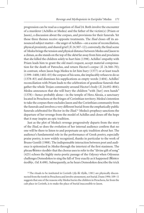progression can be read as a negation of *Iliad* 24. Both involve the encounter of a murderer (Achilles or Medea) and the father of the victim(s) (Priam or Jason), a discussion about the corpses, and provisions for their funerals. Yet those three themes receive opposite treatments. The *Iliad* closes off its announced subject matter—the anger of Achilles—on a scene of reconciliation, physical proximity, and shared grief (*Il*. 24.507–12); conversely, the final scene of *Medea* brings the tension and physical distance between Medea and Jason to a climax, as she stands on the top of the *skēnē* far away from him and proclaims that she killed the children solely to hurt him (1398). Achilles' empathy with Priam leads him to grant the old man's request, accept material compensation for the death of Patroclus, and return Hector's corpse (*Il*. 24.560–70); in contrast, when Jason begs Medea to let him bury (1377) or at least touch (1399–1400; 1402–03) the corpses of his sons, she implacably refuses to do so (1378–83) and dismisses his supplications as empty words (1404). Achilles' reconciliation with Priam leads to the celebration of grandiose funerals that gather the whole Trojan community around Hector's body (*Il*. 24.692–804); Medea announces that she will bury the children "with [her] own hands" (1378)—hence probably alone—in the temple of Hera Akraia, a sanctuary located in Perachora at the fringes of Corinthian territory. Medea's intention to take the corpses there excludes Jason and the Corinthian community from the funerals and involves a very different burial from the emphatically public funerals celebrated for Hector in the *Iliad*. 31 Medea's prophecy sanctions the departure of her revenge from the model of Achilles and closes off the hope that it may inspire an epic tradition.

Just as the plot of Medea's revenge progressively departs from the story of the *Iliad*, so does the evolution of her internal audience confirm that no one will be there to listen to and perpetuate an epic tradition about her. The audience's fundamental role in the performance of Greek poetry, especially praise poetry, is now widely recognized, thanks in particular to the work of Bruno Gentili (1988). The indispensable interaction between poet and audience is epitomized in *Medea* through the intertext of the first stasimon. The phrase  $\theta$ έσπιν ἀοιδάν that the chorus uses to refer to the "divine gift of song" (425) echoes the highly meta-poetic passage of the *Odyssey* when Odysseus challenges Demodokos to sing the fall of Troy exactly as it happened ( $\theta \epsilon \sigma \pi \nu$ άοιδήν, *Od.* 8.498). Subsequently, as he hears Demodokos describe the trick

<sup>31</sup> The rituals to be instituted in Corinth (γητ δὲ τητδε, 1381) are physically disconnected from the tomb in Perachora and involve atonement, not burial. Dunn 1994: 109–11 suggests that one of the reasons why Medea buries the children in Perachora, far from the cult place in Corinth, is to make the place of burial inaccessible to Jason.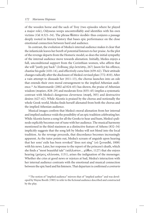of the wooden horse and the sack of Troy (two episodes where he played a major role), Odysseus weeps uncontrollably and identifies with his own victims (*Od.* 8.521–34). The phrase  $\theta \acute{\epsilon} \sigma \pi \nu \dot{\alpha}$  dota $\acute{\alpha} \nu$  thus conjures a passage deeply rooted in literary history that bases epic performance on the close emotional connection between bard and audience.

In contrast, the evolution of Medea's internal audience makes it clear that the infanticide leaves her bereft of potential listeners to her praise. As the plot of the revenge departs from the Homeric model, so does the initial sympathy of the internal audience move towards alienation. Initially, Medea enjoys a full, unconditional support from the Corinthian women, who affirm that she will "justly pay back" ( $\epsilon v \delta$ ίκως γὰρ ἐκτείσηι, 267) Jason for his offence, chastise his guile (410–14), and effectively curse him (659–62). Their attitude changes radically after the disclosure of Medea's revised plan (772–810). After a vain attempt to dissuade her (811–13), the chorus launches into an ode that extends their own moral estrangement to the implied Athenian audience.32 As Mastronarde (2002 ad 824–65) has shown, the praise of Athenian wisdom ( $\sigma$ οφίαν, 828–29) and moderate Eros (835–45) implies a systematic contrast with Medea's dangerous cleverness ( $\sigma$ o $\varphi$ ή, 305) and destructive desires (627–62). While Alcestis is praised by the chorus and notionally the whole Greek world, Medea finds herself alienated from both the chorus and the implied Athenian audience.

Musical images confirm that Medea's moral alienation from her internal and implied audience voids the possibility of an epic tradition celebrating her. While Alcestis leaves a song for all the Greeks to hear and hum, Medea's palinode explicitly becomes out of tune with her audience. The musical harmony mentioned in the third stasimon as a distinctive feature of Athens (832–34) implicitly suggests that the song left by Medea will not blend into the local tradition. As the revenge proceeds, that discordance becomes increasingly apparent. As the tutor points out, Medea's scream of anguish upon hearing that her sons' exile has been revoked "does not sing" (où  $\xi$ vwot $\delta\dot{\alpha}$ , 1008) with his news. Later, her response to the report of the princess's death, which she finds a "most beautiful tale" (κάλλιστον... μῦθον, 1127) that she enjoys hearing ( $\chi\alpha$ ίρεις κλύουσα, 1131), arises the indignation of the messenger. Whether she cries at good news or rejoices at bad, Medea's interaction with her internal audience contrasts with the emotional and musical connection between the epic bard and his listeners. That departure is confirmed *a contrario* 

<sup>32</sup>The notion of "implied audience" mirrors that of "implied author" and was developed by Wayne Booth (1983) to refer to the fictional audience described and constructed by the play.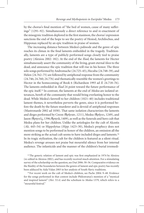by the chorus's final mention of "the bed of women, cause of many sufferings" (1291–92). Simultaneously a direct reference to and re-enactment of the misogynic tradition deplored in the first stasimon, the chorus' expression sanctions the end of the hope to see the poetry of Hesiod, Archilochus, and Hipponax replaced by an epic tradition in praise of women.

The increasing distance between Medea's palinode and the genre of epic reaches its climax in the final laments embedded in the tragedy. Traditionally, laments are a type of publicly performed songs closely tied to praise poetry (Alexiou 2002: 182). At the end of the *Iliad*, the laments for Hector simultaneously assert the community of the living, grant eternal *kleos* to the dead, and announce the epic tradition that will rise in his honor. The three solo songs performed by Andromache (24.725–45), Hecuba (24.748–59), and Helen (24.762–75) are followed by antiphonal response from the community (24.746; 24.760; 24.776) and thematically resemble the women's greetings to Hector in the homecoming of book 6 (Richardson 1993 ad *Il.* 24.718–76). The laments embedded in *Iliad* 24 point toward the future performance of the epic itself.33 In contrast, the laments at the end of *Medea* are isolated utterances, bereft of the community that would bring everlasting honor to the dead. While Medea's farewell to her children (1021–40) includes traditional lament themes, it nevertheless perverts the genre, since it is performed before the death by the future murderer and is devoid of antiphonal responses (Mastronarde 2002 ad 1030). That same isolation characterizes the laments and dirges performed by Creon ( $\theta$ ρήνων, 1211), Medea ( $\theta$ ρήνει, 1249), and Jason ( $\theta$ ρηνεῖς, 1396; θρηνῶ, 1409), as well as the funerals and hero cult that Medea plans for her children. Unlike the aetiologies for the cult of Alcestis (*Alc*. 445–54) or Hippolytus (*Hipp*. 1423–30), Medea's prophecy does not mention songs to be performed in honor of the children, an omission all the more striking as the actual cult seems to have included dirges and laments.<sup>34</sup> In its tragic stylization, the cult for the children is featured as a silent ritual. Medea's revenge arouses not praise but mournful silence from her internal audience. The infanticide and the manner of the children's burial irremedi-

<sup>33</sup>The generic relation of lament and epic was first emphasized in 1974 by Alexiou (re-edited in Alexiou 2002), and has recently received much attention. For a stimulating survey of the scholarship on the question, see Dué 2006: 30–56. Comparative evidence on the fluidity of the boundaries between the genres of lament and epic poetry has recently been adduced by Aida Vidan 2003 in her analysis of South Slavic traditions.

<sup>34</sup> For recent work on the cult of Medea's children, see Pache 2004: 9–48. Evidence for the songs performed in that context include Philostratus's mention of a "mystical and inspired lament" (*Her*. 53.4) and the scholium to *Medea* 1379, which refers to a "mournful festival."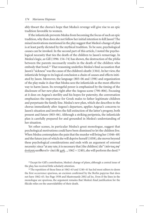ably thwart the chorus's hope that Medea's revenge will give rise to an epic tradition favorable to women.

If the infanticide prevents Medea from becoming the focus of such an epic tradition, why then does she not follow her initial intention to kill Jason? The mixed motivations mentioned in the play suggest that Medea's change of plan is at least partly dictated by the mythical tradition. To be sure, psychological causes can be invoked. In the second part of this article, I noted the psychological necessity that ties the death of the children to Jason's remarriage. In Medea's logic, as Gill (1996: 154–74) has shown, the destruction of the *philia*  between the parents necessarily results in the death of the children who embody that bond.35 That reasoning underlies Medea's final accusation that Jason's "sickness" was the cause of the children's death (1364). In her view, the infanticide brings to its logical conclusion a chain of causes and effects initiated by Jason. Moreover, the language (803–06 and 1398) and organization of the play make it clear that Medea sees the infanticide as the most effective way to harm Jason. Its revengeful power is emphasized by the timing of the disclosure of her new plan right after the Aegeus scene (790–806). Focusing at it does on Aegeus's sterility and his hopes for paternity, the conversation emphasizes the importance for Greek males to father legitimate children and perpetuate the family line. Medea's new plan, which she describes to the chorus immediately after Aegeus's departure, applies Aegeus's concerns to Jason's situation and involves the full extinction of the latter's progeny, both present and future (803–06). Although a striking peripeteia, the infanticide plan is carefully prepared for and grounded in Medea's understanding of her situation.

Yet other scenes, in particular Medea's great monologue, suggest that psychological motivations could have been dismissed to let the children live. When Medea contemplates the pain that the murder will bring her (1046–48) and the future joys of which she will deprive herself (1058), she moves beyond these psychological considerations and ends with an argument of external necessity: since "at any rate, it is necessary that [the children] die" ( $\pi \alpha v \tau \omega \varsigma \sigma \varphi'$ ) άνάγκη κατθανεῖν· ἐπεὶ δὲ χρή..., 1062 = 1240), she will perform the deed.<sup>36</sup>

<sup>35</sup> Except for Gill's contribution, Medea's change of plans, although a central issue of the play, has received little scholarly attention.

36The repetition of those lines at 1062–63 and 1240–41 has led most editors to deem the first occurrence spurious, an excision confirmed by the Berlin papyrus that does not have 1062–63. See Page 1938 and Mastronarde 2002 ad loc. Even if the lines in the monologue are spurious, the argument remains that Medea's final justification for the filicide relies on the unavoidability of their death.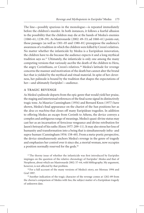The line—possibly spurious in the monologue—is repeated immediately before the children's murder. In both instances, it follows a fearful allusion to the possibility that the children may die at the hands of Medea's enemies (1060–61; 1238–39). As Mastronarde (2002: 49–53; ad 1060–61) points out, those passages (as well as 1301–05 and 1380–81) presuppose the audience's awareness of a tradition in which the children were killed by Creon's relatives. No matter whether the infanticide by Medea is a Euripidean innovation, the children have to die because the audience expects it and a long mythical tradition says so.37 Ultimately, the infanticide is only one among the many competing versions that variously ascribe the death of the children to Hera, the angry Corinthians, or Creon's relatives.<sup>38</sup> Medea's latitude for revenge concerns the manner and motivation of the death but cannot alter the brutal fact that is yielded by the mythical and ritual material. In spite of her cleverness, her palinode is bound by the tradition that shapes the expectations of her—and ultimately Euripides'—audience.

## a tragic revenge

As Medea's palinode departs from the epic genre that would yield her praise, the staging and intertextual references of the final scene signal its distinctively tragic tone. As Maurice Cunningham (1954) and Bernard Knox (1977) have shown, Medea's final appearance on the chariot of the Sun positions her as the *deus ex machina* that closes off many Euripidean tragedies. In addition to offering Medea an escape from Corinth to Athens, the device conveys a complex and ambiguous range of meanings. Medea's quasi-divine status may cast her as an incarnation of ferocious vengeance and divine retribution for Jason's betrayal of his oaths (Knox 1977: 209–11). It may also stress her loss of humanity and transformation into a being that is simultaneously infra- and supra-human (Cunningham 1954: 158–60). From a meta-poetic perspective, the device simultaneously anchors Medea's revenge in the genre of tragedy and emphasizes her control over it since she, a mortal woman, now occupies a position normally reserved for the gods.<sup>39</sup>

<sup>37</sup>The thorny issue of whether the infanticide was first introduced by Euripides impinges on the question of the relative chronology of Euripides' *Medea* and that of Neophron, about which see Mastronarde 2002: 57–64, with bibliography. My argument, however, is not affected by that problem.

<sup>38</sup> For a full account of the many versions of Medea's story, see Moreau 1994 and Graf 1997.

39Another indication of the tragic character of the revenge comes at 1282–89 from the chorus's comparison of Medea with Ino, the subject matter of a Euripidean tragedy of unknown date.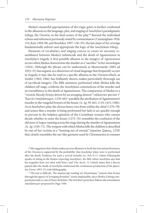Medea's masterful appropriation of the tragic genre is further confirmed in the allusions to the language, plot, and staging of Aeschylus's paradigmatic trilogy, the *Oresteia,* in the final scenes of the play.40 Beyond the individual echoes and references previously noted by commentators (Cunningham 1954: 152; Katz 1994: 88; and Boedeker 1997: 138–39), the last steps of her revenge fundamentally subvert and appropriate the logic of the Aeschylean trilogy.

Elements of vocabulary and staging concur to create an uncanny resemblance between Medea's infanticide and the death of Agamemnon in Aeschylus's tragedy.A first possible allusion to the imagery of *Agamemnon*  occurs when Medea characterizes the murder as a "sacrifice" in her monologue (1054). Although the phrase can be understood, as Mastronarde (2002 ad 1053–55) has argued, as a distortion of ritual language that frequently occurs in tragedy, it may also be read as a specific allusion to the *Oresteia* which, as Zeitlin (1965; 1966) has brilliantly shown, makes particularly thorough use of sacrificial imagery. The fifth stasimon, performed while Medea kills the children off-stage, confirms the Aeschylean connotations of the murder and its resemblance to the death of Agamemnon. The comparison of Medea to a "wretch, bloody Erinye driven by an avenging demon" ( $\tau\acute{\alpha}$ λαιναν φονίαν  $\tau'$ 'Eρινὺν ὑπαλάστορον, 1259–60)<sup>41</sup> parallels the attribution of Agamemnon's murder to the vengeful Erinyes of the house (A. *Ag*. 59, 463, 1119, 1433, 1580). As in Aeschylus's play, the chorus hears cries from within the *skēnē* (1270–78) and senses that a murder is being performed but fails to act quickly enough to prevent it; the helpless agitation of the Corinthian women who cannot decide whether to enter the house (1275–76) resembles the confusion of the old men of Argos running across the stage during the murder of Agamemnon (A. *Ag*. 1330–71). The weapon with which Medea kills the children is described by one of her victims as a "hunting net of swords" (άρκύων ξίφους, 1278) that closely resembles the net-like garment used by Clytemnestra to ensnare

40My suggestion that *Medea* makes precise allusions to both the text and performance of the *Oresteia* is supported by the probability that Aeschylus' plays were re-performed after his death. Evidence for such a revival includes Ar. *Ach*. 9–11 (where Dikaiopolis speaks of sitting in the theatre expecting Aeschylus), *Ra.* 868 (when Aeschylus says that his tragedies have not died with him), and *Vita Aesch.* 12 (which states that a decree passed after the death of Aeschylus authorized the continuous production of his plays). See Dover 1993: 23, with bibliography.

<sup>41</sup> The text is difficult. The manuscript reading  $\delta \pi$ ' άλαστόρων "remove that Erinye through the agency of avenging divinities" seems implausible, since Medea is being compared precisely to one of those divinities. The text that I print here follows the emendation υπαλάστορον proposed by Page 1938.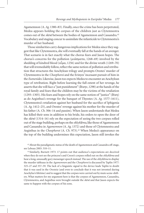Agamemnon (A. *Ag*. 1380–83). Finally, once the crime has been perpetrated, Medea appears holding the corpses of the children just as Clytemnestra comes out of the *skēnē* between the bodies of Agamemnon and Cassandra.<sup>42</sup> Vocabulary and staging concur to assimilate the infanticide to Clytemnestra's murder of her husband.

Those similarities carry dangerous implications for Medea since they suggest that like Clytemnestra, she will eventually fall at the hands of an avenger. That scenario is in fact exactly what the chorus fears and Jason hopes. The chorus's concerns for the pollution ( $\mu i \dot{\alpha} \sigma \mu \alpha \tau \alpha$ , 1268–69) involved by the shedding of kindred blood ( $\alpha \hat{\iota} \mu \alpha$ , 1256) and for the divine wrath (1269–70) that will irremediably follow, reflect the same notion of pollution and retribution that structures the Aeschylean trilogy and prompts Orestes' murder of Clytemnestra in the *Choephoroi* and the Erinyes' incessant pursuit of him in the *Eumenides*. Likewise, Jason too expects Medea to encounter an Aeschylean type of retribution. Right before learning the full extent of her revenge, he asserts that she will face a "just punishment" ( $\delta$ ikn v, 1298) at the hands of the royal family and fears that the children may be the victims of the retaliation (1293–1305). His fears and hopes rely on the same notion of "justice" ( $\delta$ ikn) as do Aegisthus's revenge for the banquet of Thyestes (A. *Ag.* 1577–1611), Clytemnestra's retaliation against her husband for the sacrifice of Iphigenia (A. *Ag*. 1412–25), and Orestes' revenge against his mother for the murder of his father (A. *Ch*. 306–14 and passim). When Jason understands that Medea has killed their sons in addition to his bride, his orders to open the door of the *skēnē* (1314–16) rely on the expectation of seeing the two corpses rolled out of the stage building, perhaps on the *ekkyklēma*, like those of Agamemnon and Cassandra in *Agamemnon* (A. *Ag*. 1372) and those of Clytemnestra and Aegisthus in the *Choephoroi* (A. *Ch.* 973).<sup>43</sup> When Medea's appearance on the top of the building undermines this expectation, Jason still invokes the

42About the paradigmatic status of the death of Agamemnon and Cassandra off-stage, see Lebeau 2003: 310–11.

<sup>43</sup> Similarly, Burnett 1973: 17 points out that audience's expectations are deceived when they do not see the princess's and Creon's corpses rolled out on the *ekkyklēma* and hear a long, unusually gory messenger speech instead. The use of the ekkyklēma to display the murder tableaus in the *Agamemnon* and the *Choephoroi* is discussed by Taplin 1977: 325–27 and 357–59. The lack of a linguistic signal to the device leads Taplin to doubt that it was used in the *Oresteia* (and even to conclude that it was not invented during Aeschylus's lifetime) and to suggest that the corpses were carried out by mute scene-shifters. What matters for my argument here is that the corpses of Agamemnon, Cassandra, Clytemnestra, and Aegisthus were brought outside the *skēnē* and that Jason expects the same to happen with the corpses of his sons.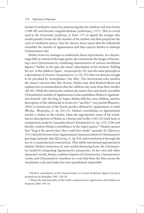model of retributive justice by announcing that the children will arise Furies (1389–90) and become vengeful demons ( $\mu$ ιάστορες, 1371). This is a word used in the *Eumenides* (μιάστορ', A. *Eum*. 177) to signify the avenger who would punish Orestes for the murder of his mother and thus perpetrate the cycle of retributive justice. Like the chorus, Jason senses that the infanticide resembles the murder of Agamemnon and thus expects Medea to undergo Clytemnestra's fate.

Medea, however, manages to undermine those expectations. As a dramaturge fully in control of the tragic genre, she circumvents the danger of becoming a new Clytemnestra by combining characteristics of various Aeschylean figures.44 Earlier in the play, the nurse's description of her mistress "bulling her eye" at the children ( $\ddot{\phi}$ μμα... $\tau \alpha \nu \rho \dot{\phi}$  are  $\dot{\phi}$ ) uses the same participle as a description of Orestes ( $\tau \alpha \nu \rho \omega \omega$ ), A. *Ch.* 275) that was famous enough to be parodied by Aristophanes (*Ra.* 804). The intertextual echo justifies the nurse's concern that, like Orestes, Medea may shed kindred blood and explains her recommendation that the children stay away from their mother (89–95). While the infanticide confirms the nurse's fear and closely resembles Clytemnestra's murder of Agamemnon, it also assimilates Medea to Agamemnon himself. Like the king of Argos, Medea kills her own children, and her description of the infanticide in terms of a "sacrifice" (τοις έμοισι θύμασιν, 1054) is reminiscent of the literal sacrifice allowed by Agamemnon at Aulis (θυτήρ... θυγατρός, A. *Ag.* 224–25). Medea's resemblance to Agamemnon reaches a climax in the exodos, when she appropriates some of his words. Jason's descriptions of Medea as a lioness and Scylla (1342–43) hark back to comparisons made by Cassandra about Clytemnestra (A. *Ag*. 1233, 1258) and thereby confirm Medea's resemblance to the Argive queen.<sup>45</sup> Medea's answer that "long is the speech that [she] could have made" (μακρὰν ἂν ἐξέτεινα, 1351) directly borrows from Agamemnon's characterization of Clytemnestra's greetings (μακρὰν γὰρ ἐξέτεινας, A. *Ag*. 916) and transforms it through the use of a counterfactual construction. That subtle intertextual appropriation displays Medea's awareness of, and careful distancing from, the Clytemnestra model by integrating Agamemnon's perspective. In her own and other characters' words, Medea combines features of Clytemnestra, Clytemnestra's victim, and Clytemnestra's murderer in a way that blurs the lines across the Aeschylean cycle and makes her own punishment impossible.

44Medea's assimilation of the characteristics of several Aechylean figures has been pointed out by Boedeker 1997: 138–39.

45About the intertextuality of the Scylla comparisons in *Agamemnon* and *Medea*, see Hopman 2005: 109–10.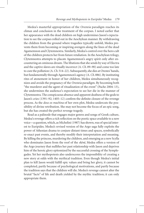Medea's masterful appropriation of the *Oresteia* paradigm reaches its climax and conclusion in the treatment of the corpses. I noted earlier that her appearance with the dead children on high undermines Jason's expectation to see the corpses rolled out in the Aeschylean manner. By withdrawing the children from the ground where tragedies typically unfold, Medea prevents them from becoming or inspiring avengers along the lines of the dead Agamemnon and Clytemnestra. Similarly, Medea's control over the hero cult of the children protects her from future retaliation. In the Aeschylean trilogy, Clytemnestra attempts to placate Agamemnon's angry spirit only after encountering an ominous dream. The libations that she sends by way of Electra and the captive slaves are ritually incorrect (A. *Ch*. 89–90) and come too late to cure the pollution (A. *Ch*. 514–22). Subsequently, she dies at Orestes' hands, but fundamentally through Agamemnon's agency (A. *Ch*. 886). By instituting rites of atonement in honor of her children, Medea simultaneously recognizes and avoids the pregnancy of the *Oresteia* paradigm. By becoming both "the murderer and the agent of ritualization of the event" (Pache 2004: 13), she undermines the audience's expectation to see her die in the manner of Clytemnestra. The conspicuous absence and apparent deafness of the gods to Jason's cries (1391–92; 1405–12) confirm the definite closure of the revenge process. As the *deus ex machina* of her own plot, Medea undercuts the possibility of divine retribution. She may not become the focus of an epic song, but she has created the perfect revenge tragedy.

Read as a palinode that engages major genres and songs of Greek culture, Medea's revenge offers a rich reflection on the poetic space available to a new voice—a question, which, as Michelini (1987) has shown, was of special interest to Euripides. Medea's revised version of the Argo saga fully exploits the power of Athenian drama to conjure distant times and spaces, symbolically re-enact past events, and thereby modify their interpretation and meaning. By killing the princess, murdering the children, and emerging as a new Scylla who dominates Jason from the roof of the *skēnē*, Medea offers a version of the Argo journey that nullifies her past relationship with Jason and deprives him of the heroic glory epitomized by the successful crossing of the Symplegades. Yet her mythopoiesis also underscores the impossibility of creating a new story at odds with the mythical tradition. Even though Medea's initial plan to kill Jason would fulfill epic values and bring her glory, it cannot be completed, partly because of psychological motivations, and partly because the tradition says that the children will die. Medea's revenge cannot alter the brutal "facts" of life and death yielded by the mythic tradition; it can only appropriate them.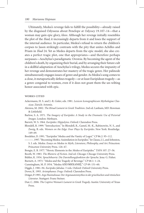Ultimately, Medea's revenge fails to fulfill the possibility—already raised by the disguised Odysseus about Penelope at *Odyssey* 19.107–14*—*that a woman may gain epic glory, *kleos.* Although her revenge initially resembles the plot of the *Iliad*, it increasingly departs from it and loses the support of the internal audience. In particular, Medea's refusal to return the children's corpses to Jason strikingly contrasts with the pity that unites Achilles and Priam in *Iliad* 24. Yet as Medea departs from the epic model, she also creates a perfect tragic plot, one that appropriates—and therefore perhaps surpasses—Aeschylus's paradigmatic *Oresteia.* By becoming the agent of the children's death, by organizing their burial, and by arranging their future cult in a skillful adaptation of Aeschylus's trilogy, Medea secures the impunity of her revenge and demonstrates her mastery of the tragic genre. Her palinode simultaneously engages issues of genre and gender. As Medea's song comes to a close, it metapoetically defines tragedy—or at least Euripidean tragedy—as a genre congenial to women, even if it does not grant them the un-wilting honor associated with epic.

#### works cited

- Ackermann, H. S. and J.-R. Gisler, eds. 1981. *Lexicon Iconographicum Mythologiae Classicae*. Zürich: Artemis.
- Alexiou, M. 2002. *The Ritual Lament in Greek Tradition*. 2nd ed. Lanham, MD: Rowman & Littlefield.
- Barlow, S. A. 1971. *The Imagery of Euripides: A Study in the Dramatic Use of Pictorial Images*. London: Methuen.
- Barrett, W. S. 1964. *Euripides: Hippolytos*. Oxford: Clarendon Press.

Blondell, R. 1999. "Introduction." In Blondell, R., Gamel, M.-K., Rabinowitz, N. S., and Zweig, B. eds. *Women on the Edge: Four Plays by Euripides*. New York: Routledge. 149–69.

Boedeker, D. 1991. "Euripides' Medea and the Vanity of Logoi." *CP* 86.2: 95–112.

———. 1997. "Becoming Medea: Assimilation in Euripides." In Clauss, J. J., and Johnston, S. I. eds. *Medea*. *Essays on Medea in Myth, Literature, Philosophy, and Art*. Princeton: Princeton University Press. 126–47.

Bongie, E. B. 1977. "Heroic Elements in the *Medea* of Euripides." *TAPA* 107: 27–56.

Booth, W. 1983. *The Rhetoric of Fiction*. 2nd ed. Chicago: Chicago University Press.

Bühler, K. 1934. *Sprachtheorie: Die Darstellungsfunktion der Sprache*. Jena: G. Fisher.

Burnett, A. 1973. "*Medea* and the Tragedy of Revenge." *CP* 68.1: 1–24.

Cunningham, M. P. 1954. "Medea APO MHXANHS." *CP* 49: 151–60.

Diggle, J. 1981–94. *Euripides fabulae*. 3 vols. Oxford: Oxford University Press.

Dover, K. 1993. *Aristophanes: Frogs*. Oxford: Clarendon Press.

Dräger, P. 1993. *Argo Pasimelousa: Der Argonautenmythos in der griechischen und römischen Literatur*. Stuttgart: Franz Steiner.

Dué, C. 2006. *The Captive Woman's Lament in Greek Tragedy*. Austin: University of Texas Press.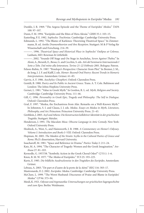Dunkle, J. R. 1969. "The Aegeus Episode and the Theme of Euripides' *Medea*." *TAPA* 100: 97–107.

Dunn, F. M. 1994. "Euripides and the Rites of Hera Akraia." *GRBS* 35.1: 103–15.

Easterling, P. E. 1982. *Sophocles: Trachiniae*. Cambridge: Cambridge University Press.

Edmunds, L. 1992. "The Blame of Karkinos: Theorizing Theatrical Space." In Zimmermann, B. ed. *Antike Dramentheorien und ihre Rezeption*. Stuttgart: M & P Verlag für Wissenschaft und Forschung. 214–39.

———. 1996. *Theatrical Space and Historical Place in Sophocles' Oedipus at Colonus*. Lanham, MD: Rowman & Littlefield.

———. 2002. "Sounds Off Stage and On Stage in Aeschylus, *Seven Against Thebes*." In Aloni, A., Berardi, E., Besso, G. and Cecchin, S. eds. *Atti del Seminario Internazionale I Sette a Tebe. Dal mitto alla letteratura. Torino 21–22 Febbraio 2001*. Bologna: Patron.

Felson-Rubin, N. 1987. "Penelope's Perspective: Character from Plot." In Bremer, J. M., de Jong, I. J. F. and Kalff, J. eds. *Homer: Beyond Oral Poetry: Recent Trends in Homeric Interpretations*. Amsterdam: Grüner. 61–83.

Garvie, A. F. 1986. *Aeschylus: Choephori*. Oxford: Clarendon Press.

- Gentili, B. 1988. *Poetry and Its Public in Ancient Greece*. Trans. A. T. Cole. Baltimore and London: The Johns Hopkins University Press.
- Gernet, L. 1981. "Value in Greek Myth." In Gordon, R. L. ed. *Myth, Religion and Society*. Cambridge: Cambridge University Press. 111–46.

Gill, C. 1996. *Personality in Greek Epic, Tragedy and Philosophy: The Self in Dialogue*. Oxford: Clarendon Press.

Graf, F. 1997. "Medea, the Enchantress from Afar. Remarks on a Well-Known Myth." In Johnston, S. I. and Clauss, J. J. eds. *Medea. Essays on Medea in Myth, Literature, Philosophy, and Art*. Princeton: Princeton University Press. 21–43.

Grethlein, J. 2003. *Asyl und Athens: Die Konstruction kollektiver Identität in der griechischen Tragödie*. Stuttgart: Metzler.

- Henderson, J. 1991. *The Maculate Muse. Obscene Language in Attic Comedy.* New York: Oxford University Press.
- Heubeck, A., West, S., and Hainsworth, J. B. 1988. *A Commentary on Homer's Odyssey. Volume I: Introduction and Books I–VIII*. Oxford: Clarendon Press.

Hopman, M. 2005. *The Maiden of the Straits: Scylla in the Cultural Poetics of Greece and Rome*. Ph.D. dissertation, Harvard University.

Issacharoff, M. 1981. "Space and Reference in Drama." *Poetics Today* 2: 211–24.

Katz, M. A. 1994. "The Character of Tragedy: Women and the Greek Imagination." *Arethusa* 27: 81–103.

Kernodle, G. 1957/58. "Symbolic Action in the Greek Choral Odes?" *CJ* 53.1: 1–6.

Knox, B. M. W. 1977. "The *Medea* of Euripides." *YCS* 25: 193–225.

Kurtz, E. 1985. *Die bildliche Ausdrucksweise in den Tragödien des Euripides*. Amsterdam: Grüner.

- Lebeau, A. 2003. "De part et d'autre de la porte de la *skéné*." *REG* 116: 303–17.
- Mastronarde, D. J. 2002. *Euripides: Medea*. Cambridge: Cambridge University Press.

McClure, L. 1999. "The Worst Husband: Discourses of Praise and Blame in Euripides' *Medea*." *CP* 94: 373–94.

Meuli, K. 1921. *Odyssee und Argonautika: Untersuchungen zur griechischen Sagengeschichte und zum Epos*. Berlin: Weidmann.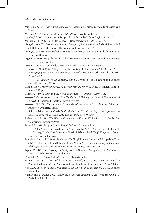- Michelini, A. 1987. *Euripides and the Tragic Tradition*. Madison: University of Wisconsin Press.
- Moreau, A. 1994. *Le mythe de Jason et de Médée*. Paris: Belles Lettres.
- Mueller, M. 2001. "Language of Reciprocity in Euripides' *Medea*." *AJP* 122: 471–504.
- Musurillo, H. 1966. "Euripides' Medea: A Reconsideration." *AJP* 87: 52–74.
- Nagy, G. 1999. *The Best of the Achaeans: Concepts of the Hero in Archaic Greek Poetry*. 2nd ed. Baltimore and London: The Johns Hopkins University Press.
- Pache, C. O. 2004. *Baby and Child Heroes in Ancient Greece*. Urbana and Chicago: University of Illinois Press.
- Page, D. L. 1938. *Euripides: Medea. The Text Edited with Introduction and Commentary*. Oxford: Clarendon Press.
- Pasolini, P. P., dir. 2000. Medea. VHS. New York: Video Arts International.
- Rabinowitz, N. S. 1992. "Tragedy and the Politics of Containment." In Richlin, A. ed. *Pornography and Representation in Greece and Rome*. New York: Oxford University Press. 36–52.

———. 1993. *Anxiety Veiled: Euripides and the Traffic in Women*. Ithaca and London: Cornell University Press.

Radt, S. 1999. *Tragicorum Graecorum Fragmenta 4: Sophocles*. 4th ed. Göttingen: Vandenhoeck & Ruprecht.

Rehm, R. 1989. "*Medea* and the Λόγος of the Heroic." *Eranos* 87.2: 97-115.

———. 1994. *Marriage to Death: The Conflation of Wedding and Funeral Rituals in Greek Tragedy*. Princeton: Princeton University Press.

———. 2002. *The Play of Space: Spatial Transformation in Greek Tragedy*. Princeton: Princeton University Press.

- Rétif, F. and Niethammer, O. eds. 2005. *Mythos und Geschlecht Mythes et Différences des Sexes. Deutsch-französisches Kolloquium*. Heidelberg: Winter.
- Richardson, N. 1993. *The Iliad: A Commentary. Volume VI: Books 21–24*. Cambridge: Cambridge University Press.
- Seaford, R. 1994. *Reciprocity and Ritual*. Oxford: Clarendon Press.

———. 2005. "Death and Wedding in Aeschylus' *Niobe*." In McHardy, F., Robson, J., and Harvey, D. eds. *Lost Dramas of Classical Athens: Greek Tragic Fragments*. Exeter: University of Exeter Press.

Sourvinou-Inwood, C. 1997. "Medea at a Shifting Distance: Images and Euripidean Tragedy." In Johnston, S. I., and Clauss, J. J. eds. *Medea. Essays on Medea in Myth, Literature, Philosophy, and Art*. Princeton: Princeton University Press. 253–96.

Taplin, O. 1977. *The Stagecraft of Aeschylus: The Dramatic Use of Exits and Entrances in Greek Tragedy*. Oxford: Clarendon Press.

- Ubersfeld, A. 1977. *Lire le théâtre*. Paris: Editions Sociales.
- Vernant, J.-P. 1991. "A 'Beautiful Death' and the Disfigured Corpse in Homeric Epic." In Zeitlin, F. ed. *Mortals and Immortals*. Princeton: Princeton University Press. 50–83.
- Verrall, A. 1883. *The* Medea *of Euripides. Edited with Introduction and Notes.* London: Macmillan.
- Vian, F. and E. Delage 2002. *Apollonios de Rhodes, Argonautiques. Tome III: Chant IV*. Paris: Les Belles Lettres.